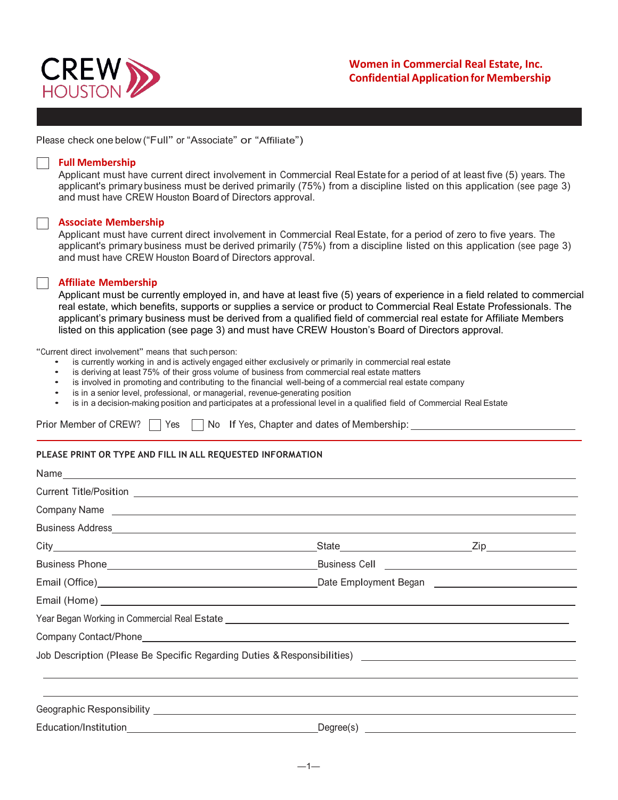

Please check one below ("Full" or "Associate" or "Affiliate")

### **Full Membership**

Applicant must have current direct involvement in Commercial Real Estate for a period of at least five (5) years. The applicant's primary business must be derived primarily (75%) from a discipline listed on this application (see page 3) and must have CREW Houston Board of Directors approval.

### **Associate Membership**

Applicant must have current direct involvement in Commercial Real Estate, for a period of zero to five years. The applicant's primary business must be derived primarily (75%) from a discipline listed on this application (see page 3) and must have CREW Houston Board of Directors approval.

### **Affiliate Membership**

Applicant must be currently employed in, and have at least five (5) years of experience in a field related to commercial real estate, which benefits, supports or supplies a service or product to Commercial Real Estate Professionals. The applicant's primary business must be derived from a qualified field of commercial real estate for Affiliate Members listed on this application (see page 3) and must have CREW Houston's Board of Directors approval.

"Current direct involvement" means that such person:

- is currently working in and is actively engaged either exclusively or primarily in commercial real estate
- is deriving at least 75% of their gross volume of business from commercial real estate matters
- is involved in promoting and contributing to the financial well-being of a commercial real estate company
- is in a senior level, professional, or managerial, revenue-generating position
- is in a decision-making position and participates at a professional level in a qualified field of Commercial Real Estate

Prior Member of CREW?  $\Box$  Yes  $\Box$  No If Yes, Chapter and dates of Membership:

### **PLEASE PRINT OR TYPE AND FILL IN ALL REQUESTED INFORMATION**

| Year Began Working in Commercial Real Estate <b>construct to the Construct of the Construct of Commercial Real Estate</b>                                                                                                      |  |
|--------------------------------------------------------------------------------------------------------------------------------------------------------------------------------------------------------------------------------|--|
|                                                                                                                                                                                                                                |  |
| Job Description (Please Be Specific Regarding Duties & Responsibilities) [18] [2012] [2013] [2013] [2013] [2014] [2015] [2016] [2016] [2016] [2016] [2016] [2016] [2016] [2016] [2016] [2016] [2016] [2016] [2016] [2016] [201 |  |
|                                                                                                                                                                                                                                |  |
|                                                                                                                                                                                                                                |  |
|                                                                                                                                                                                                                                |  |
|                                                                                                                                                                                                                                |  |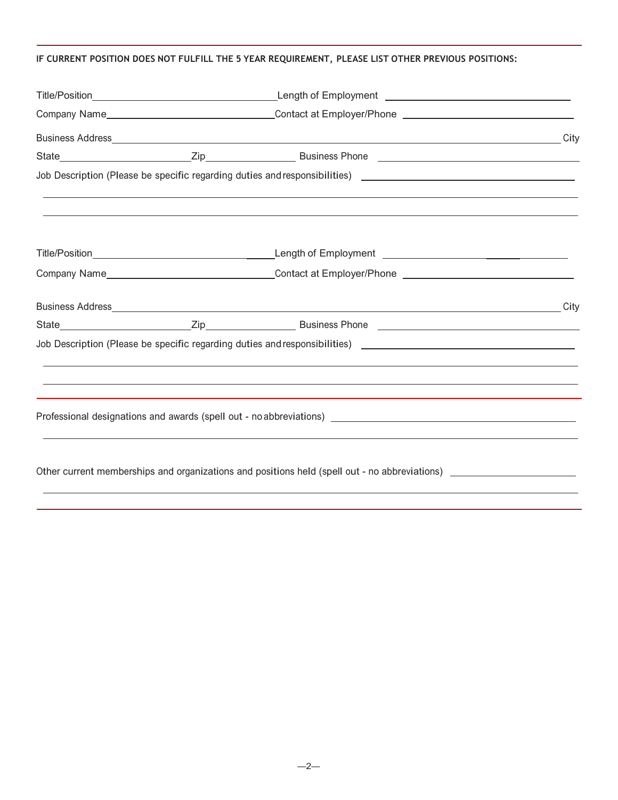# **IF CURRENT POSITION DOES NOT FULFILL THE 5 YEAR REQUIREMENT, PLEASE LIST OTHER PREVIOUS POSITIONS:**

|  | Company Name_________________________________Contact at Employer/Phone _____________________________                                                             |  |
|--|------------------------------------------------------------------------------------------------------------------------------------------------------------------|--|
|  |                                                                                                                                                                  |  |
|  |                                                                                                                                                                  |  |
|  | Job Description (Please be specific regarding duties and responsibilities) [18] [19] [19] Description (Please be specific regarding duties and responsibilities) |  |
|  |                                                                                                                                                                  |  |
|  |                                                                                                                                                                  |  |
|  | Other current memberships and organizations and positions held (spell out - no abbreviations)                                                                    |  |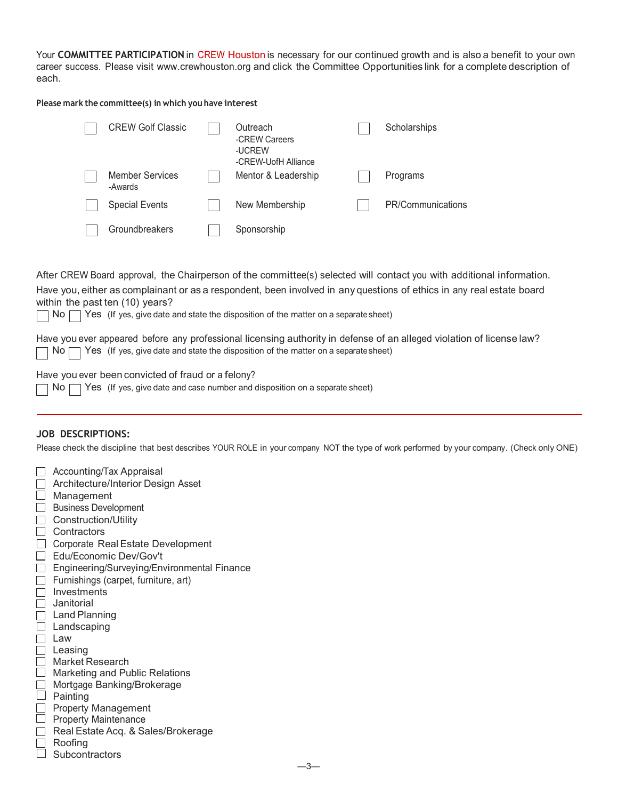Your **COMMITTEE PARTICIPATION** in CREW Houston is necessary for our continued growth and is also a benefit to your own career success. Please visit [www.crewhouston.org](http://www.crewhouston.org/) and click the Committee Opportunities link for a complete description of each.

**Please mark the committee(s) in which you have interest**

| <b>CREW Golf Classic</b>          | Outreach<br>-CREW Careers<br>-UCREW<br>-CRFW-UofH Alliance | Scholarships      |
|-----------------------------------|------------------------------------------------------------|-------------------|
| <b>Member Services</b><br>-Awards | Mentor & Leadership                                        | Programs          |
| <b>Special Events</b>             | New Membership                                             | PR/Communications |
| Groundbreakers                    | Sponsorship                                                |                   |

After CREW Board approval, the Chairperson of the committee(s) selected will contact you with additional information. Have you, either as complainant or as a respondent, been involved in any questions of ethics in any real estate board

within the past ten (10) years?

 $\Box$  No  $\Box$  Yes (If yes, give date and state the disposition of the matter on a separate sheet)

Have you ever appeared before any professional licensing authority in defense of an alleged violation of license law?  $\Box$  No  $\Box$  Yes (If yes, give date and state the disposition of the matter on a separate sheet)

## Have you ever been convicted of fraud or a felony?

|  |  | $\Box$ No $\Box$ Yes $\,$ (If yes, give date and case number and disposition on a separate sheet) |  |  |
|--|--|---------------------------------------------------------------------------------------------------|--|--|
|--|--|---------------------------------------------------------------------------------------------------|--|--|

### **JOB DESCRIPTIONS:**

Please check the discipline that best describes YOUR ROLE in your company NOT the type of work performed by your company. (Check only ONE)

| Accounting/Tax Appraisal                    |
|---------------------------------------------|
| Architecture/Interior Design Asset          |
| Management                                  |
| <b>Business Development</b>                 |
| <b>Construction/Utility</b>                 |
| Contractors                                 |
| Corporate Real Estate Development           |
| Edu/Economic Dev/Gov't                      |
| Engineering/Surveying/Environmental Finance |
| Furnishings (carpet, furniture, art)        |
| Investments                                 |
| Janitorial                                  |
| Land Planning                               |
| Landscaping                                 |
| Law                                         |
| Leasing                                     |
| Market Research                             |
| Marketing and Public Relations              |
| Mortgage Banking/Brokerage                  |
| Painting                                    |
| <b>Property Management</b>                  |
| <b>Property Maintenance</b>                 |
| Real Estate Acq. & Sales/Brokerage          |
| Roofing                                     |
| Subcontractors                              |
|                                             |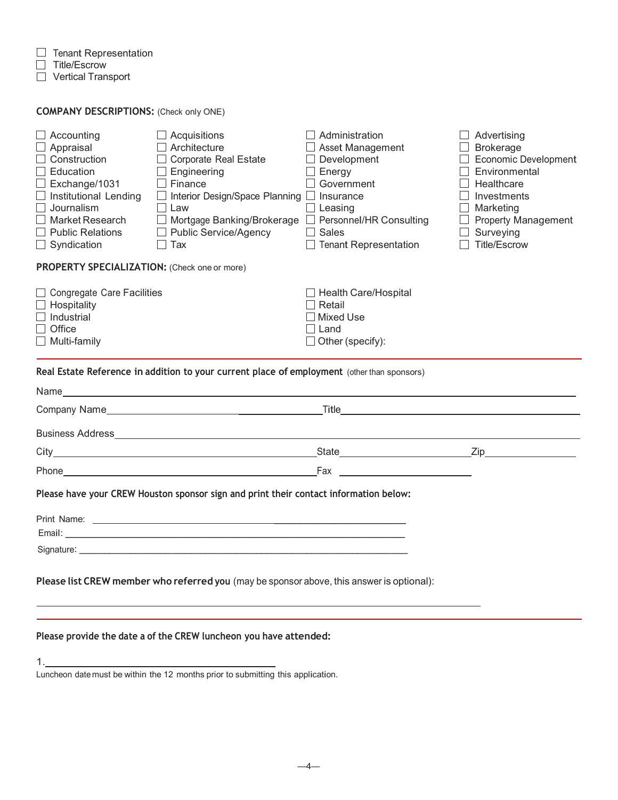1.

Tenant Representation

Title/Escrow

Vertical Transport

| <b>COMPANY DESCRIPTIONS:</b> (Check only ONE) |  |  |  |  |  |
|-----------------------------------------------|--|--|--|--|--|
|-----------------------------------------------|--|--|--|--|--|

| $\Box$ Accounting                            | $\Box$ Acquisitions                                                                                                                                                                                                            | $\Box$ Administration                                | $\Box$ Advertising         |
|----------------------------------------------|--------------------------------------------------------------------------------------------------------------------------------------------------------------------------------------------------------------------------------|------------------------------------------------------|----------------------------|
| $\Box$ Appraisal                             | Architecture                                                                                                                                                                                                                   | □ Asset Management                                   | $\Box$ Brokerage           |
| $\Box$ Construction                          | $\Box$ Corporate Real Estate                                                                                                                                                                                                   | $\Box$ Development                                   | Economic Development       |
| $\Box$ Education                             | Engineering                                                                                                                                                                                                                    | $\Box$ Energy                                        | Environmental              |
| $\Box$ Exchange/1031                         | $\Box$ Finance                                                                                                                                                                                                                 | Government                                           | Healthcare                 |
| $\Box$ Institutional Lending                 | Interior Design/Space Planning Insurance<br>$\perp$                                                                                                                                                                            |                                                      | Investments                |
| $\Box$ Journalism                            | Law                                                                                                                                                                                                                            | Leasing                                              | Marketing                  |
| Market Research                              | $\perp$                                                                                                                                                                                                                        | Mortgage Banking/Brokerage □ Personnel/HR Consulting | <b>Property Management</b> |
| <b>Public Relations</b>                      | <b>Public Service/Agency</b>                                                                                                                                                                                                   | Sales                                                | Surveying                  |
| $\Box$ Syndication                           | Tax                                                                                                                                                                                                                            | <b>Tenant Representation</b>                         | <b>Title/Escrow</b>        |
| PROPERTY SPECIALIZATION: (Check one or more) |                                                                                                                                                                                                                                |                                                      |                            |
| □ Congregate Care Facilities                 |                                                                                                                                                                                                                                | $\Box$ Health Care/Hospital                          |                            |
| $\Box$ Hospitality                           |                                                                                                                                                                                                                                | │ │ Retail                                           |                            |
| $\Box$ Industrial                            |                                                                                                                                                                                                                                | Mixed Use                                            |                            |
| Office                                       |                                                                                                                                                                                                                                | $\Box$ Land                                          |                            |
| $\Box$ Multi-family                          |                                                                                                                                                                                                                                | $\Box$ Other (specify):                              |                            |
|                                              |                                                                                                                                                                                                                                |                                                      |                            |
|                                              | Real Estate Reference in addition to your current place of employment (other than sponsors)                                                                                                                                    |                                                      |                            |
|                                              |                                                                                                                                                                                                                                |                                                      |                            |
|                                              |                                                                                                                                                                                                                                |                                                      |                            |
|                                              |                                                                                                                                                                                                                                |                                                      |                            |
|                                              |                                                                                                                                                                                                                                |                                                      |                            |
|                                              |                                                                                                                                                                                                                                |                                                      |                            |
|                                              | Please have your CREW Houston sponsor sign and print their contact information below:                                                                                                                                          |                                                      |                            |
|                                              |                                                                                                                                                                                                                                |                                                      |                            |
|                                              |                                                                                                                                                                                                                                |                                                      |                            |
|                                              |                                                                                                                                                                                                                                |                                                      |                            |
|                                              | Signature: the contract of the contract of the contract of the contract of the contract of the contract of the contract of the contract of the contract of the contract of the contract of the contract of the contract of the |                                                      |                            |
|                                              | Please list CREW member who referred you (may be sponsor above, this answer is optional):                                                                                                                                      |                                                      |                            |
|                                              |                                                                                                                                                                                                                                |                                                      |                            |
|                                              |                                                                                                                                                                                                                                |                                                      |                            |
|                                              | Please provide the date a of the CREW luncheon you have attended:                                                                                                                                                              |                                                      |                            |

Luncheon date must be within the 12 months prior to submitting this application.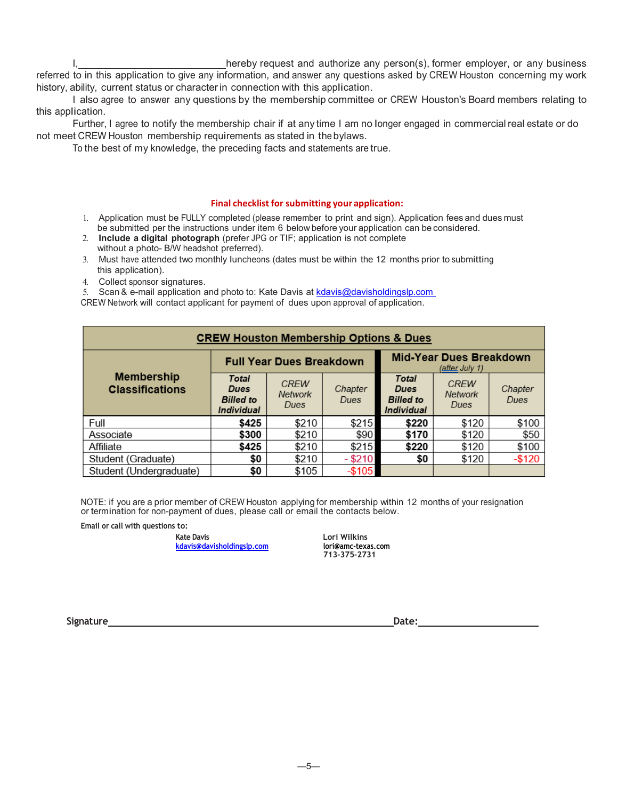hereby request and authorize any person(s), former employer, or any business referred to in this application to give any information, and answer any questions asked by CREW Houston concerning my work history, ability, current status or character in connection with this application.

I also agree to answer any questions by the membership committee or CREW Houston's Board members relating to this application.

Further, I agree to notify the membership chair if at any time I am no longer engaged in commercial real estate or do not meet CREW Houston membership requirements as stated in the bylaws.

To the best of my knowledge, the preceding facts and statements are true.

#### **Final checklist for submitting your application:**

- 1. Application must be FULLY completed (please remember to print and sign). Application fees and dues must be submitted per the instructions under item 6 below before your application can be considered.
- 2. **Include a digital photograph** (prefer JPG or TIF; application is not complete without a photo- B/W headshot preferred).
- 3. Must have attended two monthly luncheons (dates must be within the 12 months prior to submitting this application).
- 4. Collect sponsor signatures.

5. Scan & e-mail application and photo to: Kate Davis at [kdavis@davisholdingslp.com](mailto:kdavis@davisholdingslp.com)

CREW Network will contact applicant for payment of dues upon approval of application.

| <b>CREW Houston Membership Options &amp; Dues</b> |                                                                                     |                                       |                 |                                                        |                                |                 |  |
|---------------------------------------------------|-------------------------------------------------------------------------------------|---------------------------------------|-----------------|--------------------------------------------------------|--------------------------------|-----------------|--|
|                                                   | <b>Mid-Year Dues Breakdown</b><br><b>Full Year Dues Breakdown</b><br>(after July 1) |                                       |                 |                                                        |                                |                 |  |
| <b>Membership</b><br><b>Classifications</b>       | <b>Total</b><br>Dues<br><b>Billed</b> to<br><b>Individual</b>                       | <b>CREW</b><br><b>Network</b><br>Dues | Chapter<br>Dues | <b>Total</b><br>Dues<br><b>Billed</b> to<br>Individual | <b>CREW</b><br>Network<br>Dues | Chapter<br>Dues |  |
| Full                                              | \$425                                                                               | \$210                                 | \$215           | \$220                                                  | \$120                          | \$100           |  |
| Associate                                         | \$300                                                                               | \$210                                 | \$90            | \$170                                                  | \$120                          | \$50            |  |
| Affiliate                                         | \$425                                                                               | \$210                                 | \$215           | \$220                                                  | \$120                          | \$100           |  |
| Student (Graduate)                                | \$0                                                                                 | \$210                                 | $-$ \$210       | \$0                                                    | \$120                          | $-$120$         |  |
| Student (Undergraduate)                           | \$0                                                                                 | \$105                                 | $-$105$         |                                                        |                                |                 |  |

NOTE: if you are a prior member of CREW Houston applying for membership within 12 months of your resignation or termination for non-payment of dues, please call or email the contacts below.

**Email or call with questions to:**

**Kate Davis Lori Wilkins [kdavis@davisholdingslp.com](mailto:kdavis@davisholdingslp.com) lori@amc-texas.com**

 **713-375-2731**

**Signature** Date: **Date: Date: Date: Date: Date: Date: Date: Date: Date: Date: Date: Date: Date: Date: Date: Date: Date: Date: Date: Date: Date: Date: Date: Date: Date: Dat**